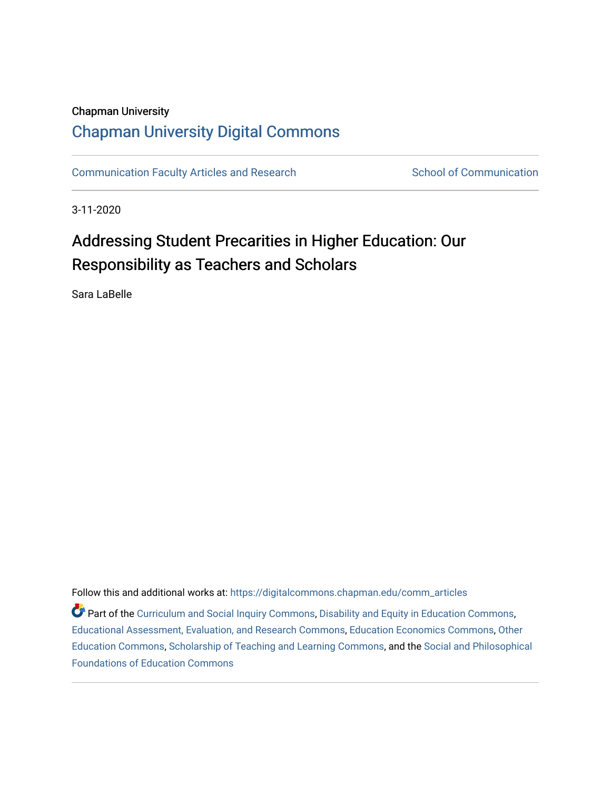## Chapman University

## [Chapman University Digital Commons](https://digitalcommons.chapman.edu/)

[Communication Faculty Articles and Research](https://digitalcommons.chapman.edu/comm_articles) School of Communication

3-11-2020

# Addressing Student Precarities in Higher Education: Our Responsibility as Teachers and Scholars

Sara LaBelle

Follow this and additional works at: [https://digitalcommons.chapman.edu/comm\\_articles](https://digitalcommons.chapman.edu/comm_articles?utm_source=digitalcommons.chapman.edu%2Fcomm_articles%2F71&utm_medium=PDF&utm_campaign=PDFCoverPages) 

Part of the [Curriculum and Social Inquiry Commons,](http://network.bepress.com/hgg/discipline/1038?utm_source=digitalcommons.chapman.edu%2Fcomm_articles%2F71&utm_medium=PDF&utm_campaign=PDFCoverPages) [Disability and Equity in Education Commons](http://network.bepress.com/hgg/discipline/1040?utm_source=digitalcommons.chapman.edu%2Fcomm_articles%2F71&utm_medium=PDF&utm_campaign=PDFCoverPages), [Educational Assessment, Evaluation, and Research Commons,](http://network.bepress.com/hgg/discipline/796?utm_source=digitalcommons.chapman.edu%2Fcomm_articles%2F71&utm_medium=PDF&utm_campaign=PDFCoverPages) [Education Economics Commons](http://network.bepress.com/hgg/discipline/1262?utm_source=digitalcommons.chapman.edu%2Fcomm_articles%2F71&utm_medium=PDF&utm_campaign=PDFCoverPages), [Other](http://network.bepress.com/hgg/discipline/811?utm_source=digitalcommons.chapman.edu%2Fcomm_articles%2F71&utm_medium=PDF&utm_campaign=PDFCoverPages)  [Education Commons,](http://network.bepress.com/hgg/discipline/811?utm_source=digitalcommons.chapman.edu%2Fcomm_articles%2F71&utm_medium=PDF&utm_campaign=PDFCoverPages) [Scholarship of Teaching and Learning Commons](http://network.bepress.com/hgg/discipline/1328?utm_source=digitalcommons.chapman.edu%2Fcomm_articles%2F71&utm_medium=PDF&utm_campaign=PDFCoverPages), and the [Social and Philosophical](http://network.bepress.com/hgg/discipline/799?utm_source=digitalcommons.chapman.edu%2Fcomm_articles%2F71&utm_medium=PDF&utm_campaign=PDFCoverPages)  [Foundations of Education Commons](http://network.bepress.com/hgg/discipline/799?utm_source=digitalcommons.chapman.edu%2Fcomm_articles%2F71&utm_medium=PDF&utm_campaign=PDFCoverPages)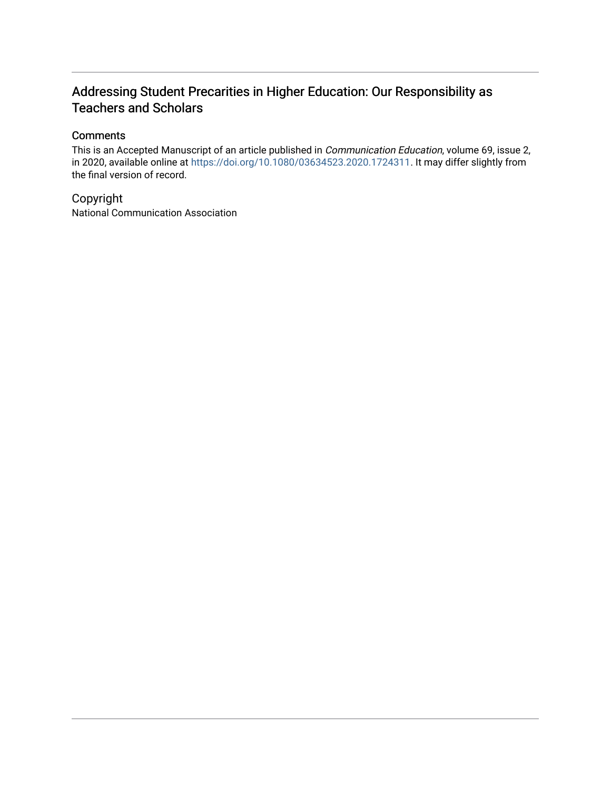## Addressing Student Precarities in Higher Education: Our Responsibility as Teachers and Scholars

### **Comments**

This is an Accepted Manuscript of an article published in Communication Education, volume 69, issue 2, in 2020, available online at <https://doi.org/10.1080/03634523.2020.1724311>. It may differ slightly from the final version of record.

## Copyright

National Communication Association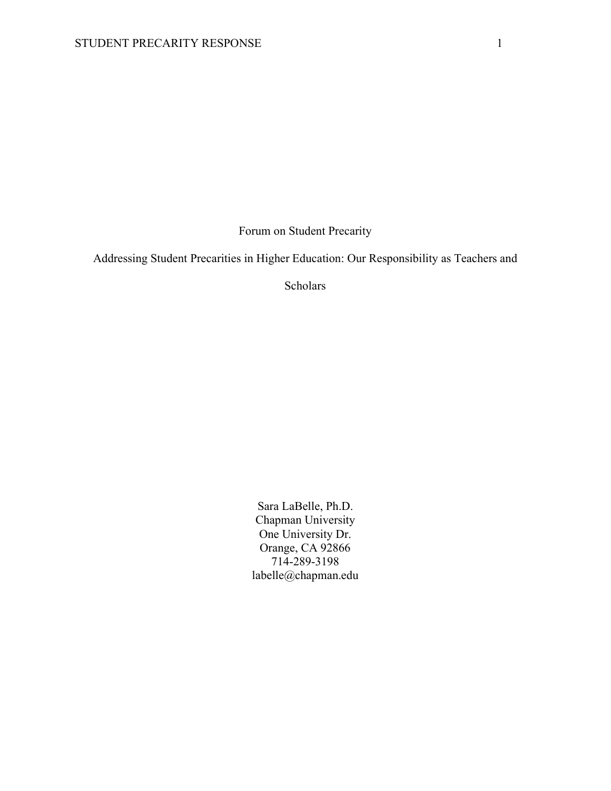Forum on Student Precarity

Addressing Student Precarities in Higher Education: Our Responsibility as Teachers and

Scholars

Sara LaBelle, Ph.D. Chapman University One University Dr. Orange, CA 92866 714-289-3198 labelle@chapman.edu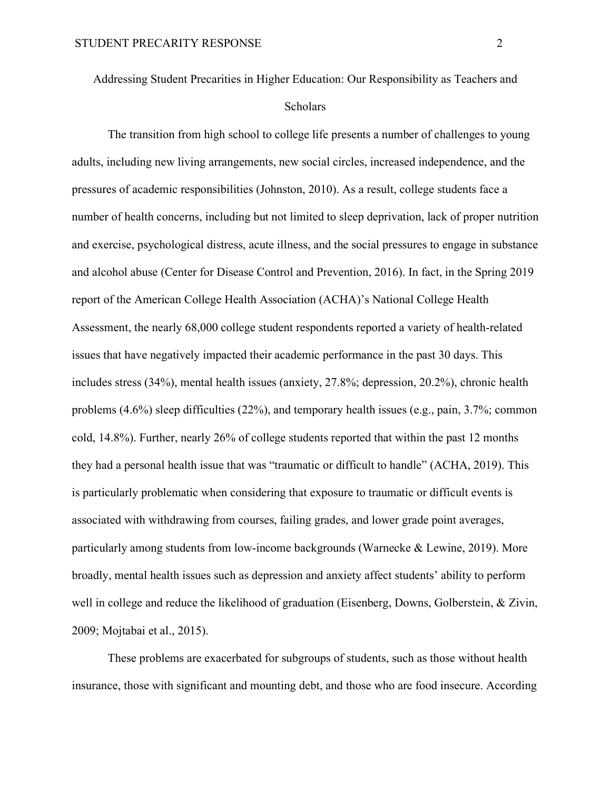Addressing Student Precarities in Higher Education: Our Responsibility as Teachers and Scholars

The transition from high school to college life presents a number of challenges to young adults, including new living arrangements, new social circles, increased independence, and the pressures of academic responsibilities (Johnston, 2010). As a result, college students face a number of health concerns, including but not limited to sleep deprivation, lack of proper nutrition and exercise, psychological distress, acute illness, and the social pressures to engage in substance and alcohol abuse (Center for Disease Control and Prevention, 2016). In fact, in the Spring 2019 report of the American College Health Association (ACHA)'s National College Health Assessment, the nearly 68,000 college student respondents reported a variety of health-related issues that have negatively impacted their academic performance in the past 30 days. This includes stress (34%), mental health issues (anxiety, 27.8%; depression, 20.2%), chronic health problems (4.6%) sleep difficulties (22%), and temporary health issues (e.g., pain, 3.7%; common cold, 14.8%). Further, nearly 26% of college students reported that within the past 12 months they had a personal health issue that was "traumatic or difficult to handle" (ACHA, 2019). This is particularly problematic when considering that exposure to traumatic or difficult events is associated with withdrawing from courses, failing grades, and lower grade point averages, particularly among students from low-income backgrounds (Warnecke & Lewine, 2019). More broadly, mental health issues such as depression and anxiety affect students' ability to perform well in college and reduce the likelihood of graduation (Eisenberg, Downs, Golberstein, & Zivin, 2009; Mojtabai et al., 2015).

These problems are exacerbated for subgroups of students, such as those without health insurance, those with significant and mounting debt, and those who are food insecure. According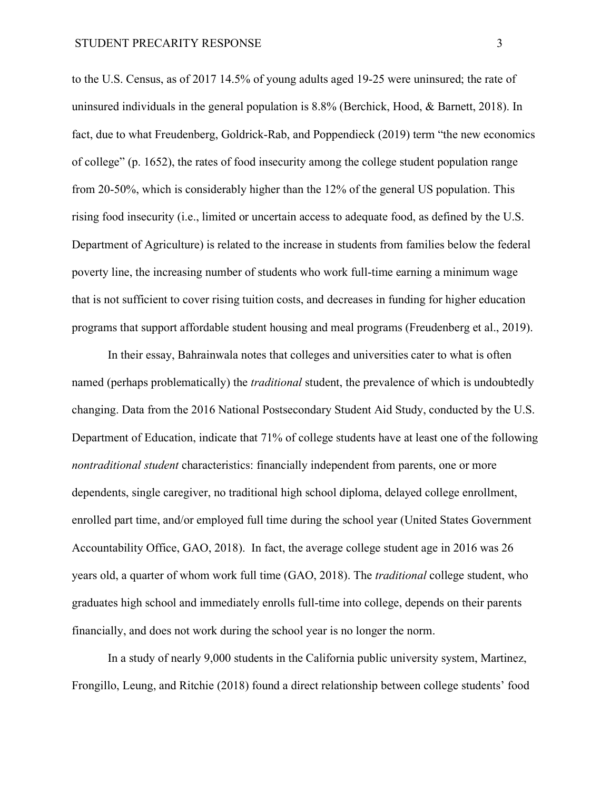to the U.S. Census, as of 2017 14.5% of young adults aged 19-25 were uninsured; the rate of uninsured individuals in the general population is 8.8% (Berchick, Hood, & Barnett, 2018). In fact, due to what Freudenberg, Goldrick-Rab, and Poppendieck (2019) term "the new economics of college" (p. 1652), the rates of food insecurity among the college student population range from 20-50%, which is considerably higher than the 12% of the general US population. This rising food insecurity (i.e., limited or uncertain access to adequate food, as defined by the U.S. Department of Agriculture) is related to the increase in students from families below the federal poverty line, the increasing number of students who work full-time earning a minimum wage that is not sufficient to cover rising tuition costs, and decreases in funding for higher education programs that support affordable student housing and meal programs (Freudenberg et al., 2019).

In their essay, Bahrainwala notes that colleges and universities cater to what is often named (perhaps problematically) the *traditional* student, the prevalence of which is undoubtedly changing. Data from the 2016 National Postsecondary Student Aid Study, conducted by the U.S. Department of Education, indicate that 71% of college students have at least one of the following *nontraditional student* characteristics: financially independent from parents, one or more dependents, single caregiver, no traditional high school diploma, delayed college enrollment, enrolled part time, and/or employed full time during the school year (United States Government Accountability Office, GAO, 2018). In fact, the average college student age in 2016 was 26 years old, a quarter of whom work full time (GAO, 2018). The *traditional* college student, who graduates high school and immediately enrolls full-time into college, depends on their parents financially, and does not work during the school year is no longer the norm.

In a study of nearly 9,000 students in the California public university system, Martinez, Frongillo, Leung, and Ritchie (2018) found a direct relationship between college students' food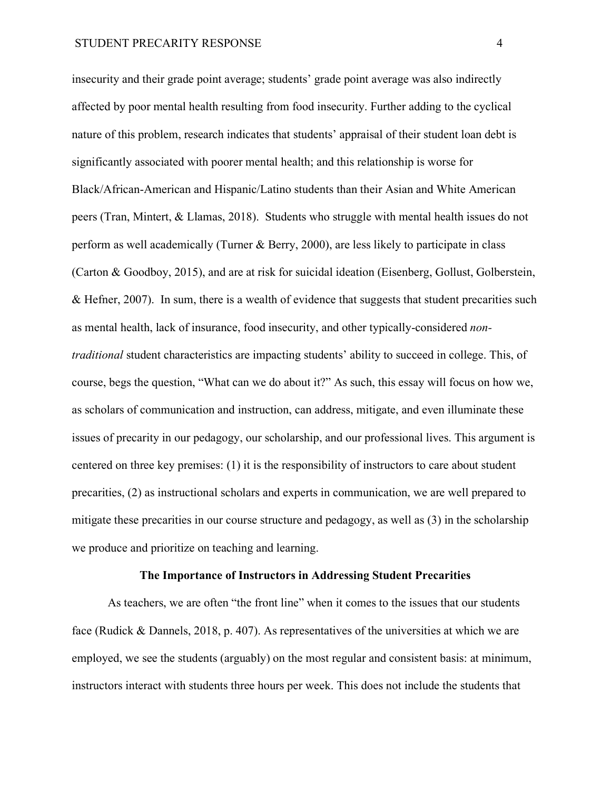insecurity and their grade point average; students' grade point average was also indirectly affected by poor mental health resulting from food insecurity. Further adding to the cyclical nature of this problem, research indicates that students' appraisal of their student loan debt is significantly associated with poorer mental health; and this relationship is worse for Black/African-American and Hispanic/Latino students than their Asian and White American peers (Tran, Mintert, & Llamas, 2018). Students who struggle with mental health issues do not perform as well academically (Turner & Berry, 2000), are less likely to participate in class (Carton & Goodboy, 2015), and are at risk for suicidal ideation (Eisenberg, Gollust, Golberstein, & Hefner, 2007). In sum, there is a wealth of evidence that suggests that student precarities such as mental health, lack of insurance, food insecurity, and other typically-considered *nontraditional* student characteristics are impacting students' ability to succeed in college. This, of course, begs the question, "What can we do about it?" As such, this essay will focus on how we, as scholars of communication and instruction, can address, mitigate, and even illuminate these issues of precarity in our pedagogy, our scholarship, and our professional lives. This argument is centered on three key premises: (1) it is the responsibility of instructors to care about student precarities, (2) as instructional scholars and experts in communication, we are well prepared to mitigate these precarities in our course structure and pedagogy, as well as (3) in the scholarship we produce and prioritize on teaching and learning.

#### **The Importance of Instructors in Addressing Student Precarities**

As teachers, we are often "the front line" when it comes to the issues that our students face (Rudick & Dannels, 2018, p. 407). As representatives of the universities at which we are employed, we see the students (arguably) on the most regular and consistent basis: at minimum, instructors interact with students three hours per week. This does not include the students that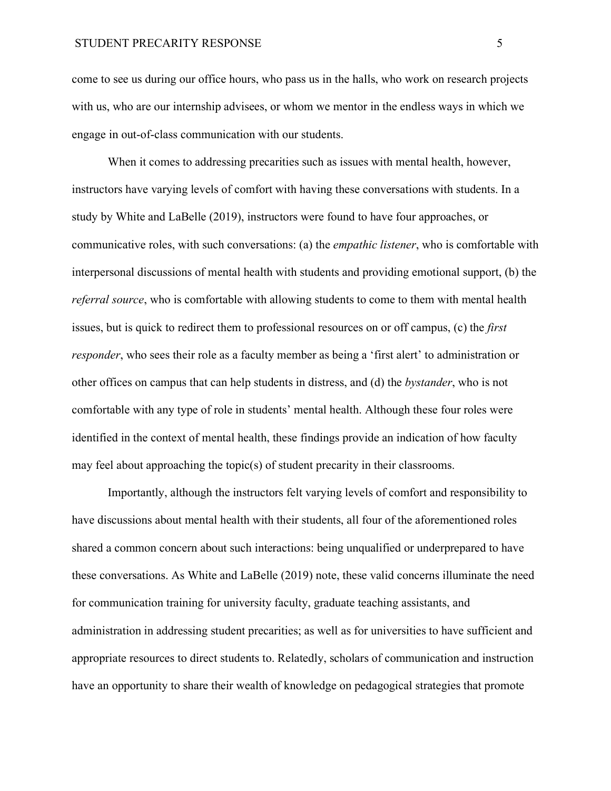come to see us during our office hours, who pass us in the halls, who work on research projects with us, who are our internship advisees, or whom we mentor in the endless ways in which we engage in out-of-class communication with our students.

When it comes to addressing precarities such as issues with mental health, however, instructors have varying levels of comfort with having these conversations with students. In a study by White and LaBelle (2019), instructors were found to have four approaches, or communicative roles, with such conversations: (a) the *empathic listener*, who is comfortable with interpersonal discussions of mental health with students and providing emotional support, (b) the *referral source*, who is comfortable with allowing students to come to them with mental health issues, but is quick to redirect them to professional resources on or off campus, (c) the *first responder*, who sees their role as a faculty member as being a 'first alert' to administration or other offices on campus that can help students in distress, and (d) the *bystander*, who is not comfortable with any type of role in students' mental health. Although these four roles were identified in the context of mental health, these findings provide an indication of how faculty may feel about approaching the topic(s) of student precarity in their classrooms.

Importantly, although the instructors felt varying levels of comfort and responsibility to have discussions about mental health with their students, all four of the aforementioned roles shared a common concern about such interactions: being unqualified or underprepared to have these conversations. As White and LaBelle (2019) note, these valid concerns illuminate the need for communication training for university faculty, graduate teaching assistants, and administration in addressing student precarities; as well as for universities to have sufficient and appropriate resources to direct students to. Relatedly, scholars of communication and instruction have an opportunity to share their wealth of knowledge on pedagogical strategies that promote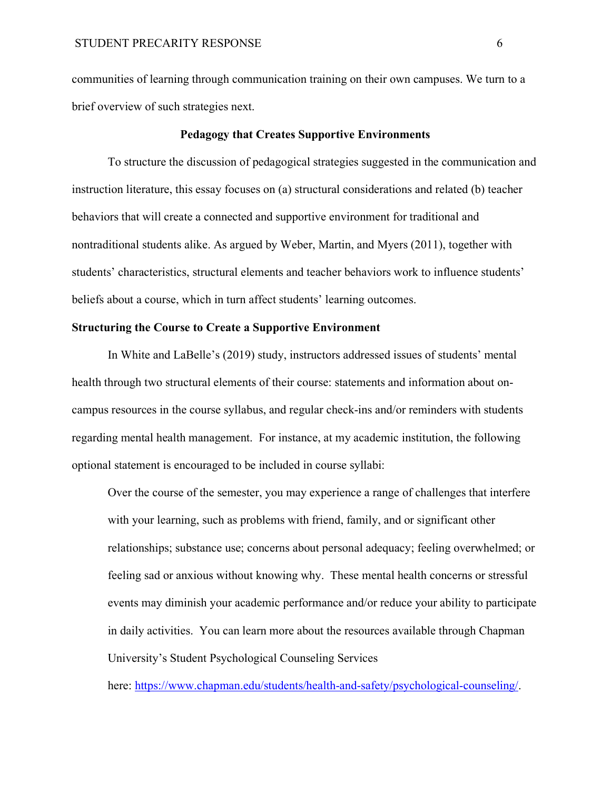communities of learning through communication training on their own campuses. We turn to a brief overview of such strategies next.

#### **Pedagogy that Creates Supportive Environments**

To structure the discussion of pedagogical strategies suggested in the communication and instruction literature, this essay focuses on (a) structural considerations and related (b) teacher behaviors that will create a connected and supportive environment for traditional and nontraditional students alike. As argued by Weber, Martin, and Myers (2011), together with students' characteristics, structural elements and teacher behaviors work to influence students' beliefs about a course, which in turn affect students' learning outcomes.

#### **Structuring the Course to Create a Supportive Environment**

In White and LaBelle's (2019) study, instructors addressed issues of students' mental health through two structural elements of their course: statements and information about oncampus resources in the course syllabus, and regular check-ins and/or reminders with students regarding mental health management. For instance, at my academic institution, the following optional statement is encouraged to be included in course syllabi:

Over the course of the semester, you may experience a range of challenges that interfere with your learning, such as problems with friend, family, and or significant other relationships; substance use; concerns about personal adequacy; feeling overwhelmed; or feeling sad or anxious without knowing why. These mental health concerns or stressful events may diminish your academic performance and/or reduce your ability to participate in daily activities. You can learn more about the resources available through Chapman University's Student Psychological Counseling Services

here: [https://www.chapman.edu/students/health-and-safety/psychological-counseling/.](https://www.chapman.edu/students/health-and-safety/psychological-counseling/)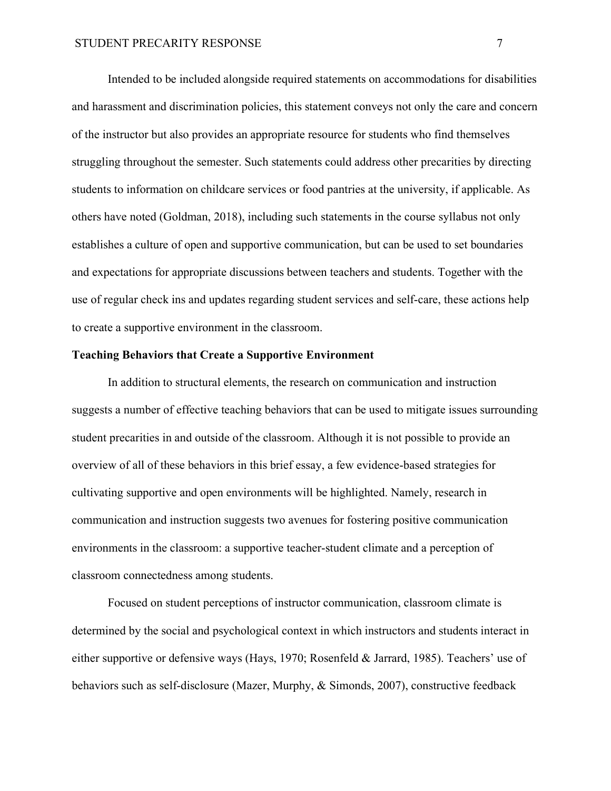Intended to be included alongside required statements on accommodations for disabilities and harassment and discrimination policies, this statement conveys not only the care and concern of the instructor but also provides an appropriate resource for students who find themselves struggling throughout the semester. Such statements could address other precarities by directing students to information on childcare services or food pantries at the university, if applicable. As others have noted (Goldman, 2018), including such statements in the course syllabus not only establishes a culture of open and supportive communication, but can be used to set boundaries and expectations for appropriate discussions between teachers and students. Together with the use of regular check ins and updates regarding student services and self-care, these actions help to create a supportive environment in the classroom.

#### **Teaching Behaviors that Create a Supportive Environment**

In addition to structural elements, the research on communication and instruction suggests a number of effective teaching behaviors that can be used to mitigate issues surrounding student precarities in and outside of the classroom. Although it is not possible to provide an overview of all of these behaviors in this brief essay, a few evidence-based strategies for cultivating supportive and open environments will be highlighted. Namely, research in communication and instruction suggests two avenues for fostering positive communication environments in the classroom: a supportive teacher-student climate and a perception of classroom connectedness among students.

Focused on student perceptions of instructor communication, classroom climate is determined by the social and psychological context in which instructors and students interact in either supportive or defensive ways (Hays, 1970; Rosenfeld & Jarrard, 1985). Teachers' use of behaviors such as self-disclosure (Mazer, Murphy, & Simonds, 2007), constructive feedback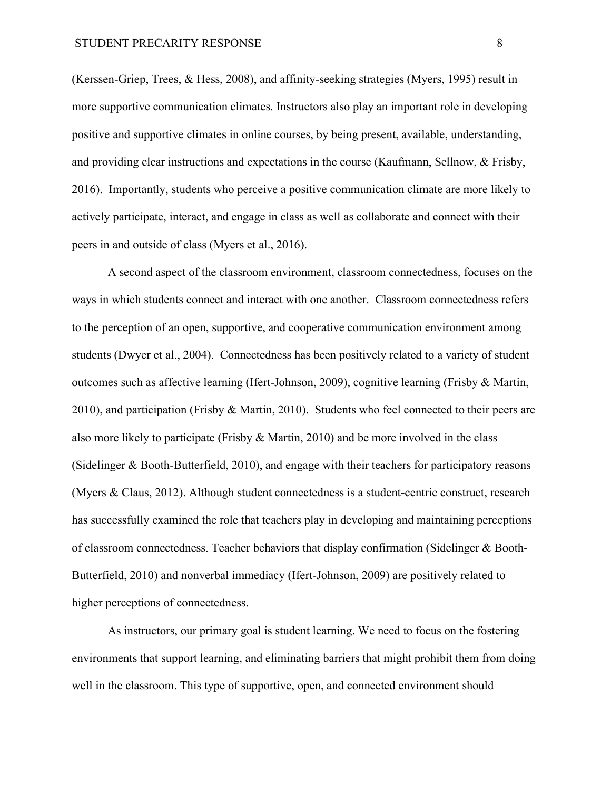(Kerssen-Griep, Trees, & Hess, 2008), and affinity-seeking strategies (Myers, 1995) result in more supportive communication climates. Instructors also play an important role in developing positive and supportive climates in online courses, by being present, available, understanding, and providing clear instructions and expectations in the course (Kaufmann, Sellnow, & Frisby, 2016). Importantly, students who perceive a positive communication climate are more likely to actively participate, interact, and engage in class as well as collaborate and connect with their peers in and outside of class (Myers et al., 2016).

A second aspect of the classroom environment, classroom connectedness, focuses on the ways in which students connect and interact with one another. Classroom connectedness refers to the perception of an open, supportive, and cooperative communication environment among students (Dwyer et al., 2004). Connectedness has been positively related to a variety of student outcomes such as affective learning (Ifert-Johnson, 2009), cognitive learning (Frisby & Martin, 2010), and participation (Frisby & Martin, 2010). Students who feel connected to their peers are also more likely to participate (Frisby & Martin, 2010) and be more involved in the class (Sidelinger & Booth-Butterfield, 2010), and engage with their teachers for participatory reasons (Myers & Claus, 2012). Although student connectedness is a student-centric construct, research has successfully examined the role that teachers play in developing and maintaining perceptions of classroom connectedness. Teacher behaviors that display confirmation (Sidelinger & Booth-Butterfield, 2010) and nonverbal immediacy (Ifert-Johnson, 2009) are positively related to higher perceptions of connectedness.

As instructors, our primary goal is student learning. We need to focus on the fostering environments that support learning, and eliminating barriers that might prohibit them from doing well in the classroom. This type of supportive, open, and connected environment should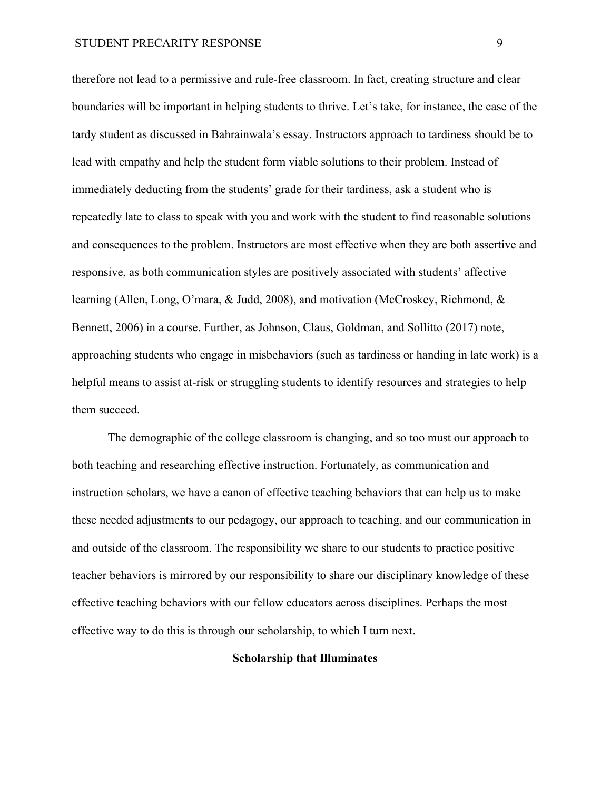therefore not lead to a permissive and rule-free classroom. In fact, creating structure and clear boundaries will be important in helping students to thrive. Let's take, for instance, the case of the tardy student as discussed in Bahrainwala's essay. Instructors approach to tardiness should be to lead with empathy and help the student form viable solutions to their problem. Instead of immediately deducting from the students' grade for their tardiness, ask a student who is repeatedly late to class to speak with you and work with the student to find reasonable solutions and consequences to the problem. Instructors are most effective when they are both assertive and responsive, as both communication styles are positively associated with students' affective learning (Allen, Long, O'mara, & Judd, 2008), and motivation (McCroskey, Richmond, & Bennett, 2006) in a course. Further, as Johnson, Claus, Goldman, and Sollitto (2017) note, approaching students who engage in misbehaviors (such as tardiness or handing in late work) is a helpful means to assist at-risk or struggling students to identify resources and strategies to help them succeed.

The demographic of the college classroom is changing, and so too must our approach to both teaching and researching effective instruction. Fortunately, as communication and instruction scholars, we have a canon of effective teaching behaviors that can help us to make these needed adjustments to our pedagogy, our approach to teaching, and our communication in and outside of the classroom. The responsibility we share to our students to practice positive teacher behaviors is mirrored by our responsibility to share our disciplinary knowledge of these effective teaching behaviors with our fellow educators across disciplines. Perhaps the most effective way to do this is through our scholarship, to which I turn next.

#### **Scholarship that Illuminates**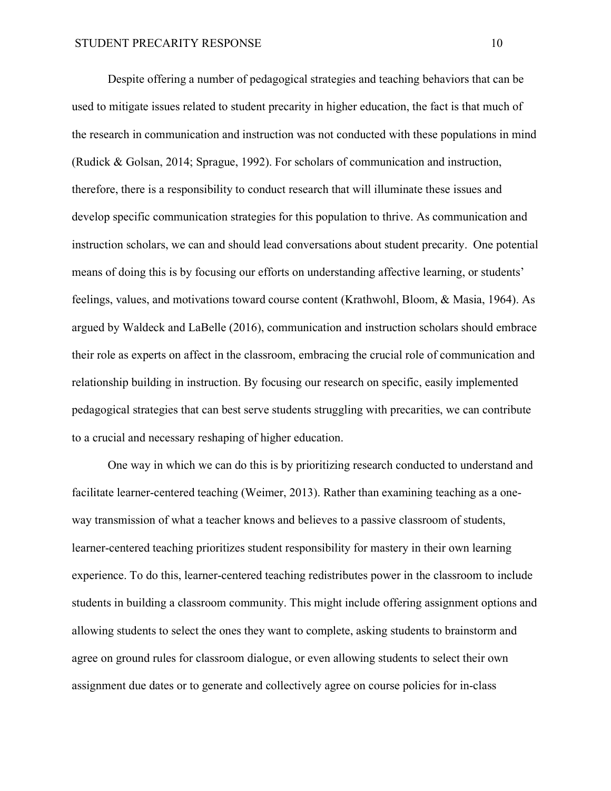Despite offering a number of pedagogical strategies and teaching behaviors that can be used to mitigate issues related to student precarity in higher education, the fact is that much of the research in communication and instruction was not conducted with these populations in mind (Rudick & Golsan, 2014; Sprague, 1992). For scholars of communication and instruction, therefore, there is a responsibility to conduct research that will illuminate these issues and develop specific communication strategies for this population to thrive. As communication and instruction scholars, we can and should lead conversations about student precarity. One potential means of doing this is by focusing our efforts on understanding affective learning, or students' feelings, values, and motivations toward course content (Krathwohl, Bloom, & Masia, 1964). As argued by Waldeck and LaBelle (2016), communication and instruction scholars should embrace their role as experts on affect in the classroom, embracing the crucial role of communication and relationship building in instruction. By focusing our research on specific, easily implemented pedagogical strategies that can best serve students struggling with precarities, we can contribute to a crucial and necessary reshaping of higher education.

One way in which we can do this is by prioritizing research conducted to understand and facilitate learner-centered teaching (Weimer, 2013). Rather than examining teaching as a oneway transmission of what a teacher knows and believes to a passive classroom of students, learner-centered teaching prioritizes student responsibility for mastery in their own learning experience. To do this, learner-centered teaching redistributes power in the classroom to include students in building a classroom community. This might include offering assignment options and allowing students to select the ones they want to complete, asking students to brainstorm and agree on ground rules for classroom dialogue, or even allowing students to select their own assignment due dates or to generate and collectively agree on course policies for in-class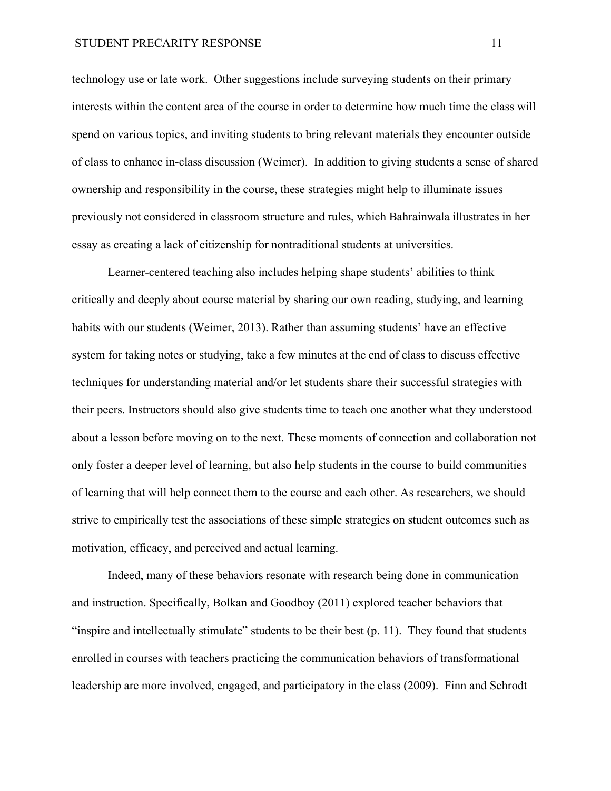technology use or late work. Other suggestions include surveying students on their primary interests within the content area of the course in order to determine how much time the class will spend on various topics, and inviting students to bring relevant materials they encounter outside of class to enhance in-class discussion (Weimer). In addition to giving students a sense of shared ownership and responsibility in the course, these strategies might help to illuminate issues previously not considered in classroom structure and rules, which Bahrainwala illustrates in her essay as creating a lack of citizenship for nontraditional students at universities.

Learner-centered teaching also includes helping shape students' abilities to think critically and deeply about course material by sharing our own reading, studying, and learning habits with our students (Weimer, 2013). Rather than assuming students' have an effective system for taking notes or studying, take a few minutes at the end of class to discuss effective techniques for understanding material and/or let students share their successful strategies with their peers. Instructors should also give students time to teach one another what they understood about a lesson before moving on to the next. These moments of connection and collaboration not only foster a deeper level of learning, but also help students in the course to build communities of learning that will help connect them to the course and each other. As researchers, we should strive to empirically test the associations of these simple strategies on student outcomes such as motivation, efficacy, and perceived and actual learning.

Indeed, many of these behaviors resonate with research being done in communication and instruction. Specifically, Bolkan and Goodboy (2011) explored teacher behaviors that "inspire and intellectually stimulate" students to be their best (p. 11). They found that students enrolled in courses with teachers practicing the communication behaviors of transformational leadership are more involved, engaged, and participatory in the class (2009). Finn and Schrodt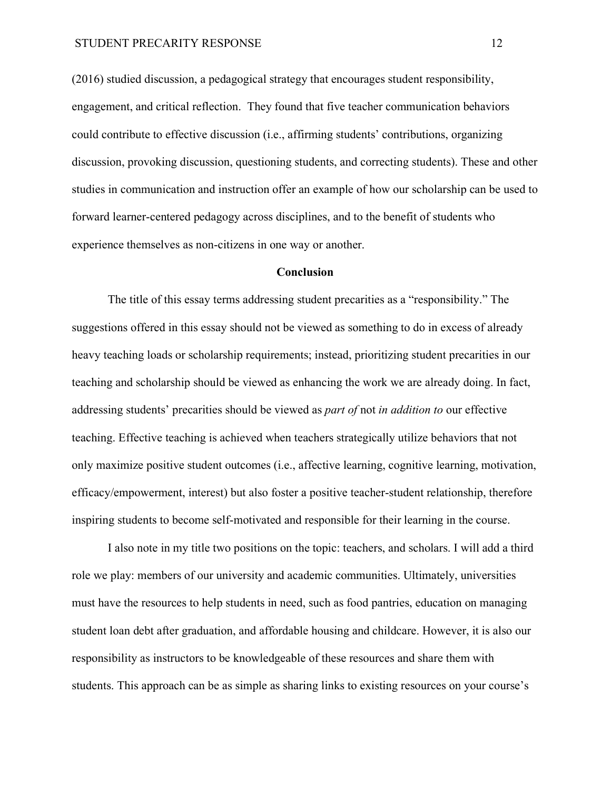(2016) studied discussion, a pedagogical strategy that encourages student responsibility, engagement, and critical reflection. They found that five teacher communication behaviors could contribute to effective discussion (i.e., affirming students' contributions, organizing discussion, provoking discussion, questioning students, and correcting students). These and other studies in communication and instruction offer an example of how our scholarship can be used to forward learner-centered pedagogy across disciplines, and to the benefit of students who experience themselves as non-citizens in one way or another.

#### **Conclusion**

The title of this essay terms addressing student precarities as a "responsibility." The suggestions offered in this essay should not be viewed as something to do in excess of already heavy teaching loads or scholarship requirements; instead, prioritizing student precarities in our teaching and scholarship should be viewed as enhancing the work we are already doing. In fact, addressing students' precarities should be viewed as *part of* not *in addition to* our effective teaching. Effective teaching is achieved when teachers strategically utilize behaviors that not only maximize positive student outcomes (i.e., affective learning, cognitive learning, motivation, efficacy/empowerment, interest) but also foster a positive teacher-student relationship, therefore inspiring students to become self-motivated and responsible for their learning in the course.

I also note in my title two positions on the topic: teachers, and scholars. I will add a third role we play: members of our university and academic communities. Ultimately, universities must have the resources to help students in need, such as food pantries, education on managing student loan debt after graduation, and affordable housing and childcare. However, it is also our responsibility as instructors to be knowledgeable of these resources and share them with students. This approach can be as simple as sharing links to existing resources on your course's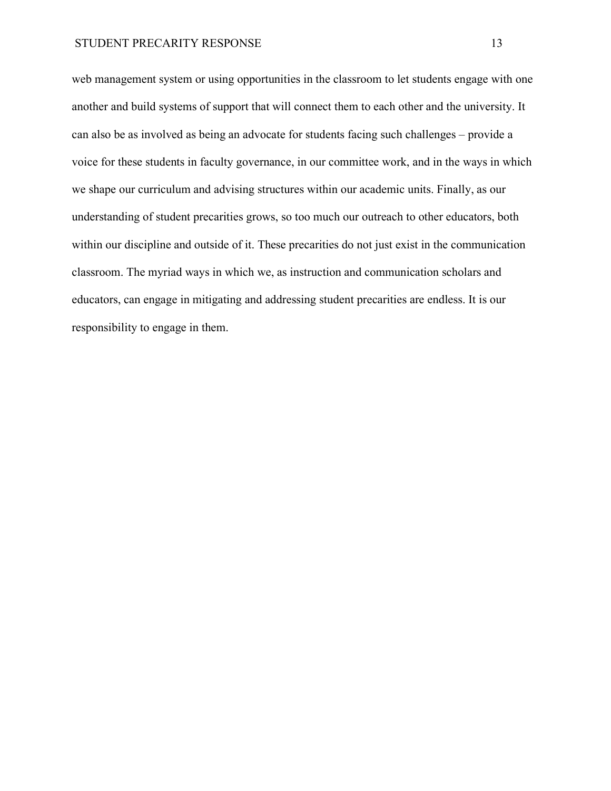web management system or using opportunities in the classroom to let students engage with one another and build systems of support that will connect them to each other and the university. It can also be as involved as being an advocate for students facing such challenges – provide a voice for these students in faculty governance, in our committee work, and in the ways in which we shape our curriculum and advising structures within our academic units. Finally, as our understanding of student precarities grows, so too much our outreach to other educators, both within our discipline and outside of it. These precarities do not just exist in the communication classroom. The myriad ways in which we, as instruction and communication scholars and educators, can engage in mitigating and addressing student precarities are endless. It is our responsibility to engage in them.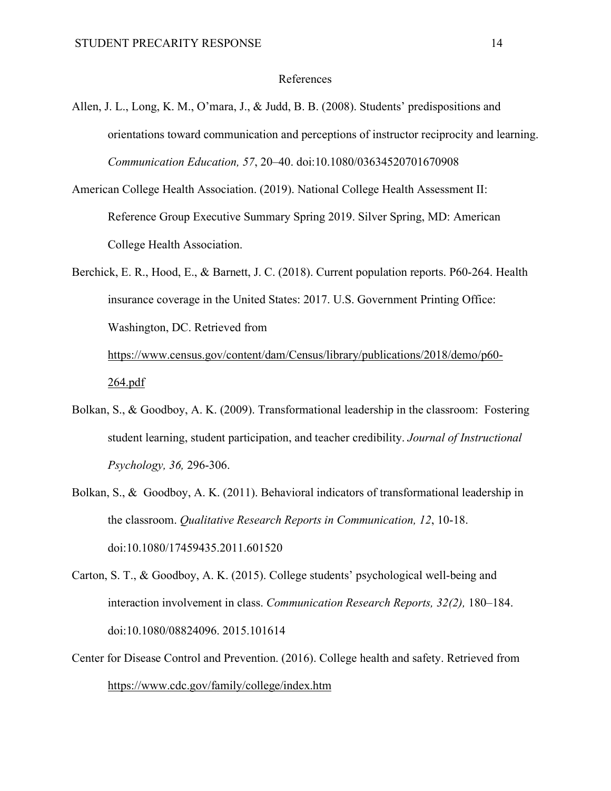#### References

- Allen, J. L., Long, K. M., O'mara, J., & Judd, B. B. (2008). Students' predispositions and orientations toward communication and perceptions of instructor reciprocity and learning. *Communication Education, 57*, 20–40. doi:10.1080/03634520701670908
- American College Health Association. (2019). National College Health Assessment II: Reference Group Executive Summary Spring 2019. Silver Spring, MD: American College Health Association.
- Berchick, E. R., Hood, E., & Barnett, J. C. (2018). Current population reports. P60-264. Health insurance coverage in the United States: 2017. U.S. Government Printing Office: Washington, DC. Retrieved from [https://www.census.gov/content/dam/Census/library/publications/2018/demo/p60-](https://www.census.gov/content/dam/Census/library/publications/2018/demo/p60-264.pdf)

[264.pdf](https://www.census.gov/content/dam/Census/library/publications/2018/demo/p60-264.pdf)

- Bolkan, S., & Goodboy, A. K. (2009). Transformational leadership in the classroom: Fostering student learning, student participation, and teacher credibility. *Journal of Instructional Psychology, 36,* 296-306.
- Bolkan, S., & Goodboy, A. K. (2011). Behavioral indicators of transformational leadership in the classroom. *Qualitative Research Reports in Communication, 12*, 10-18. doi:10.1080/17459435.2011.601520
- Carton, S. T., & Goodboy, A. K. (2015). College students' psychological well-being and interaction involvement in class. *Communication Research Reports, 32(2),* 180–184. doi:10.1080/08824096. 2015.101614
- Center for Disease Control and Prevention. (2016). College health and safety. Retrieved from <https://www.cdc.gov/family/college/index.htm>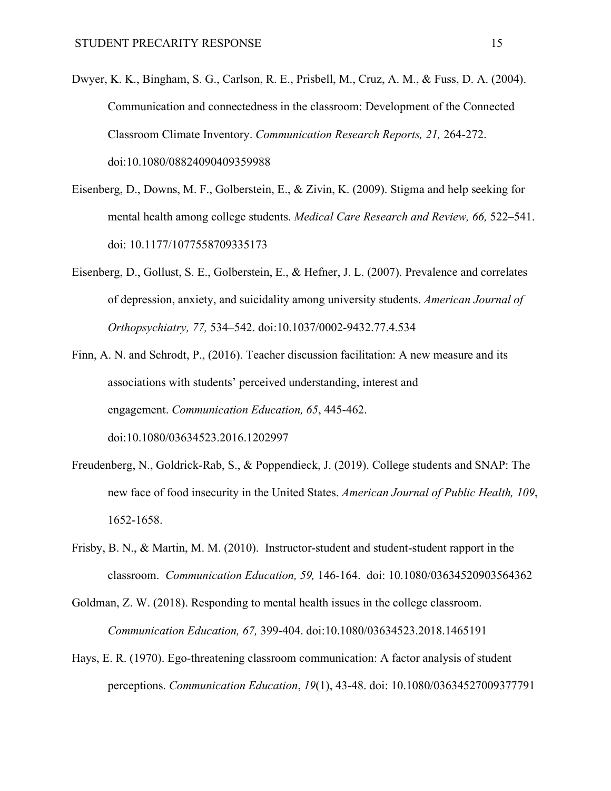- Dwyer, K. K., Bingham, S. G., Carlson, R. E., Prisbell, M., Cruz, A. M., & Fuss, D. A. (2004). Communication and connectedness in the classroom: Development of the Connected Classroom Climate Inventory. *Communication Research Reports, 21,* 264-272. doi:10.1080/08824090409359988
- Eisenberg, D., Downs, M. F., Golberstein, E., & Zivin, K. (2009). Stigma and help seeking for mental health among college students. *Medical Care Research and Review, 66,* 522–541. doi: 10.1177/1077558709335173
- Eisenberg, D., Gollust, S. E., Golberstein, E., & Hefner, J. L. (2007). Prevalence and correlates of depression, anxiety, and suicidality among university students. *American Journal of Orthopsychiatry, 77,* 534–542. doi:10.1037/0002-9432.77.4.534
- Finn, A. N. and Schrodt, P., (2016). Teacher discussion facilitation: A new measure and its associations with students' perceived understanding, interest and engagement. *Communication Education, 65*, 445-462. doi:10.1080/03634523.2016.1202997
- Freudenberg, N., Goldrick-Rab, S., & Poppendieck, J. (2019). College students and SNAP: The new face of food insecurity in the United States. *American Journal of Public Health, 109*, 1652-1658.
- Frisby, B. N., & Martin, M. M. (2010). Instructor-student and student-student rapport in the classroom. *Communication Education, 59,* 146-164. doi: 10.1080/03634520903564362

Goldman, Z. W. (2018). Responding to mental health issues in the college classroom. *Communication Education, 67,* 399-404. doi:10.1080/03634523.2018.1465191

Hays, E. R. (1970). Ego-threatening classroom communication: A factor analysis of student perceptions. *Communication Education*, *19*(1), 43-48. doi: 10.1080/03634527009377791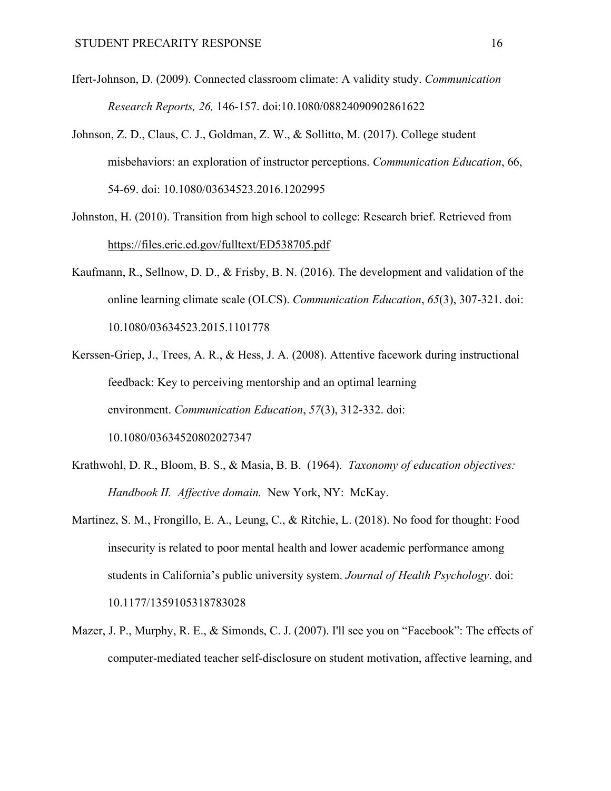- Ifert-Johnson, D. (2009). Connected classroom climate: A validity study. *Communication Research Reports, 26,* 146-157. doi:10.1080/08824090902861622
- Johnson, Z. D., Claus, C. J., Goldman, Z. W., & Sollitto, M. (2017). College student misbehaviors: an exploration of instructor perceptions. *Communication Education*, 66, 54-69. doi: 10.1080/03634523.2016.1202995
- Johnston, H. (2010). Transition from high school to college: Research brief. Retrieved from <https://files.eric.ed.gov/fulltext/ED538705.pdf>
- Kaufmann, R., Sellnow, D. D., & Frisby, B. N. (2016). The development and validation of the online learning climate scale (OLCS). *Communication Education*, *65*(3), 307-321. doi: 10.1080/03634523.2015.1101778
- Kerssen-Griep, J., Trees, A. R., & Hess, J. A. (2008). Attentive facework during instructional feedback: Key to perceiving mentorship and an optimal learning environment. *Communication Education*, *57*(3), 312-332. doi: 10.1080/03634520802027347
- Krathwohl, D. R., Bloom, B. S., & Masia, B. B. (1964). *Taxonomy of education objectives: Handbook II. Affective domain.* New York, NY: McKay.
- Martinez, S. M., Frongillo, E. A., Leung, C., & Ritchie, L. (2018). No food for thought: Food insecurity is related to poor mental health and lower academic performance among students in California's public university system. *Journal of Health Psychology*. doi: 10.1177/1359105318783028
- Mazer, J. P., Murphy, R. E., & Simonds, C. J. (2007). I'll see you on "Facebook": The effects of computer-mediated teacher self-disclosure on student motivation, affective learning, and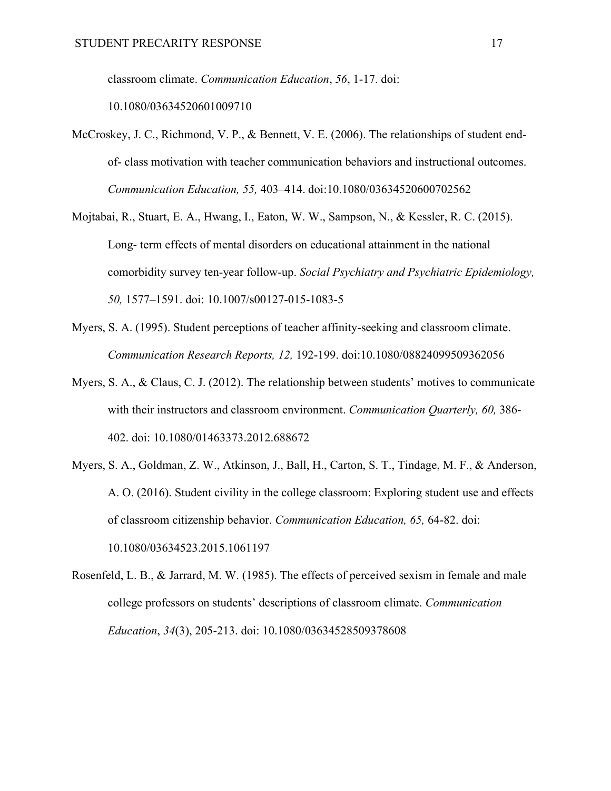classroom climate. *Communication Education*, *56*, 1-17. doi:

10.1080/03634520601009710

- McCroskey, J. C., Richmond, V. P., & Bennett, V. E. (2006). The relationships of student endof- class motivation with teacher communication behaviors and instructional outcomes. *Communication Education, 55,* 403–414. doi:10.1080/03634520600702562
- Mojtabai, R., Stuart, E. A., Hwang, I., Eaton, W. W., Sampson, N., & Kessler, R. C. (2015). Long- term effects of mental disorders on educational attainment in the national comorbidity survey ten-year follow-up. *Social Psychiatry and Psychiatric Epidemiology, 50,* 1577–1591. doi: [10.1007/s00127-015-1083-5](https://dx.doi.org/10.1007%2Fs00127-015-1083-5)
- Myers, S. A. (1995). Student perceptions of teacher affinity-seeking and classroom climate. *Communication Research Reports, 12,* 192-199. doi:10.1080/08824099509362056
- Myers, S. A., & Claus, C. J. (2012). The relationship between students' motives to communicate with their instructors and classroom environment. *Communication Quarterly, 60,* 386- 402. doi: 10.1080/01463373.2012.688672
- Myers, S. A., Goldman, Z. W., Atkinson, J., Ball, H., Carton, S. T., Tindage, M. F., & Anderson, A. O. (2016). Student civility in the college classroom: Exploring student use and effects of classroom citizenship behavior. *Communication Education, 65,* 64-82. doi: 10.1080/03634523.2015.1061197
- Rosenfeld, L. B., & Jarrard, M. W. (1985). The effects of perceived sexism in female and male college professors on students' descriptions of classroom climate. *Communication Education*, *34*(3), 205-213. doi: 10.1080/03634528509378608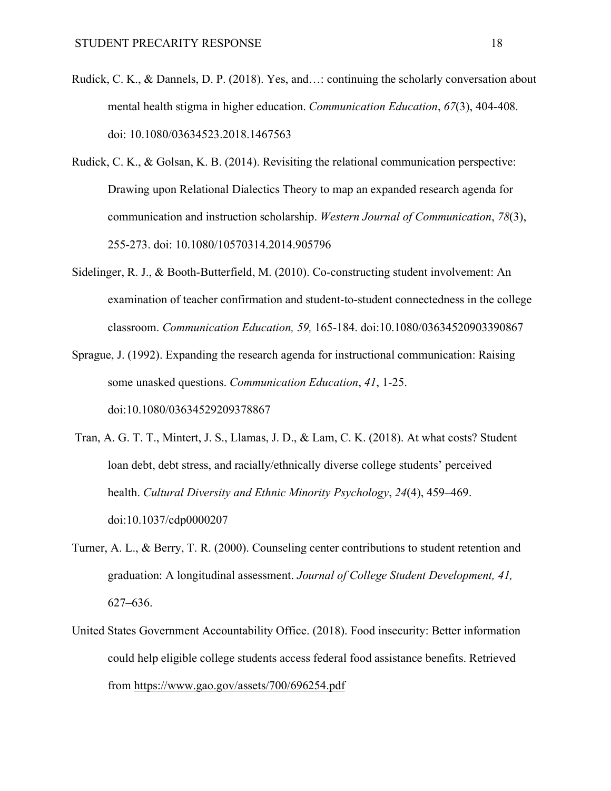- Rudick, C. K., & Dannels, D. P. (2018). Yes, and…: continuing the scholarly conversation about mental health stigma in higher education. *Communication Education*, *67*(3), 404-408. doi: 10.1080/03634523.2018.1467563
- Rudick, C. K., & Golsan, K. B. (2014). Revisiting the relational communication perspective: Drawing upon Relational Dialectics Theory to map an expanded research agenda for communication and instruction scholarship. *Western Journal of Communication*, *78*(3), 255-273. doi: 10.1080/10570314.2014.905796
- Sidelinger, R. J., & Booth-Butterfield, M. (2010). Co-constructing student involvement: An examination of teacher confirmation and student-to-student connectedness in the college classroom. *Communication Education, 59,* 165-184. doi:10.1080/03634520903390867
- Sprague, J. (1992). Expanding the research agenda for instructional communication: Raising some unasked questions. *Communication Education*, *41*, 1-25. doi:10.1080/03634529209378867
- Tran, A. G. T. T., Mintert, J. S., Llamas, J. D., & Lam, C. K. (2018). At what costs? Student loan debt, debt stress, and racially/ethnically diverse college students' perceived health. *Cultural Diversity and Ethnic Minority Psychology*, *24*(4), 459–469. [doi:10.1037/cdp0000207](https://doi-org.libproxy.chapman.edu/10.1037/cdp0000207)
- Turner, A. L., & Berry, T. R. (2000). Counseling center contributions to student retention and graduation: A longitudinal assessment. *Journal of College Student Development, 41,* 627–636.
- United States Government Accountability Office. (2018). Food insecurity: Better information could help eligible college students access federal food assistance benefits. Retrieved from<https://www.gao.gov/assets/700/696254.pdf>